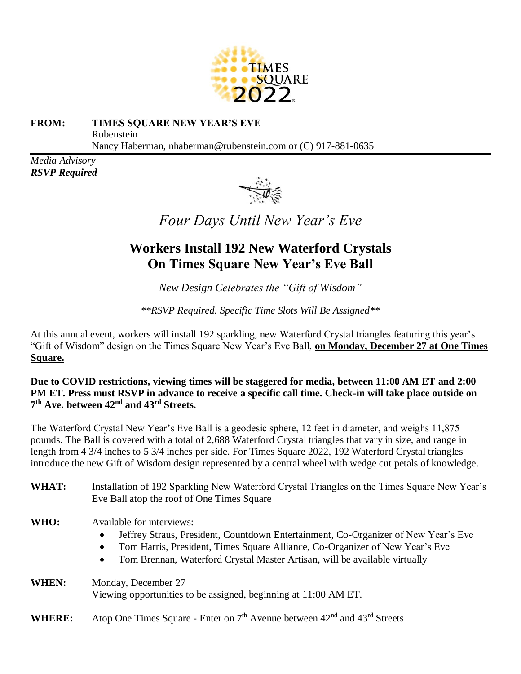

## **FROM: TIMES SQUARE NEW YEAR'S EVE**  Rubenstein Nancy Haberman, [nhaberman@rubenstein.com](mailto:nhaberman@rubenstein.com) or (C) 917-881-0635

*Media Advisory RSVP Required* 



*Four Days Until New Year's Eve*

## **Workers Install 192 New Waterford Crystals On Times Square New Year's Eve Ball**

*New Design Celebrates the "Gift of Wisdom"*

*\*\*RSVP Required. Specific Time Slots Will Be Assigned\*\**

At this annual event, workers will install 192 sparkling, new Waterford Crystal triangles featuring this year's "Gift of Wisdom" design on the Times Square New Year's Eve Ball, **on Monday, December 27 at One Times Square.**

**Due to COVID restrictions, viewing times will be staggered for media, between 11:00 AM ET and 2:00 PM ET. Press must RSVP in advance to receive a specific call time. Check-in will take place outside on 7 th Ave. between 42nd and 43rd Streets.**

The Waterford Crystal New Year's Eve Ball is a geodesic sphere, 12 feet in diameter, and weighs 11,875 pounds. The Ball is covered with a total of 2,688 Waterford Crystal triangles that vary in size, and range in length from 4 3/4 inches to 5 3/4 inches per side. For Times Square 2022, 192 Waterford Crystal triangles introduce the new Gift of Wisdom design represented by a central wheel with wedge cut petals of knowledge.

- WHAT: Installation of 192 Sparkling New Waterford Crystal Triangles on the Times Square New Year's Eve Ball atop the roof of One Times Square
- **WHO:** Available for interviews:
	- Jeffrey Straus, President, Countdown Entertainment, Co-Organizer of New Year's Eve
	- Tom Harris, President, Times Square Alliance, Co-Organizer of New Year's Eve
	- Tom Brennan, Waterford Crystal Master Artisan, will be available virtually
- **WHEN:** Monday, December 27 Viewing opportunities to be assigned, beginning at 11:00 AM ET.
- **WHERE:** Atop One Times Square Enter on  $7<sup>th</sup>$  Avenue between  $42<sup>nd</sup>$  and  $43<sup>rd</sup>$  Streets